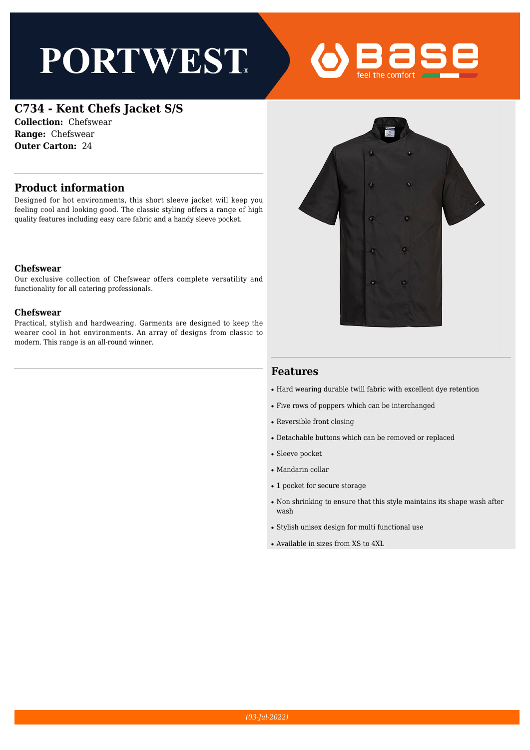# **PORTWEST**



## **C734 - Kent Chefs Jacket S/S**

**Collection:** Chefswear **Range:** Chefswear **Outer Carton:** 24

## **Product information**

Designed for hot environments, this short sleeve jacket will keep you feeling cool and looking good. The classic styling offers a range of high quality features including easy care fabric and a handy sleeve pocket.

#### **Chefswear**

Our exclusive collection of Chefswear offers complete versatility and functionality for all catering professionals.

#### **Chefswear**

Practical, stylish and hardwearing. Garments are designed to keep the wearer cool in hot environments. An array of designs from classic to modern. This range is an all-round winner.



### **Features**

- Hard wearing durable twill fabric with excellent dye retention
- Five rows of poppers which can be interchanged
- Reversible front closing
- Detachable buttons which can be removed or replaced
- Sleeve pocket
- Mandarin collar
- 1 pocket for secure storage
- Non shrinking to ensure that this style maintains its shape wash after wash
- Stylish unisex design for multi functional use
- Available in sizes from XS to 4XL